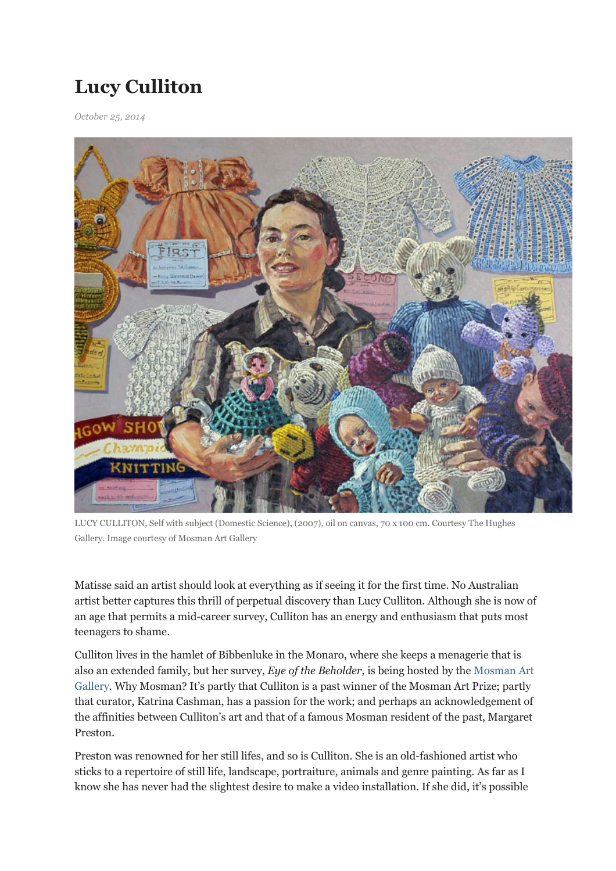## Lucy Culliton

October 25, 2014



LUCY CULLITON, Self with subject (Domestic Science), (2007), oil on canvas, 70 x 100 cm. Courtesy The Hughes Gallery. Image courtesy of Mosman Art Gallery

Matisse said an artist should look at everything as if seeing it for the first time. No Australian artist better captures this thrill of perpetual discovery than Lucy Culliton. Although she is now of an age that permits a mid-career survey, Culliton has an energy and enthusiasm that puts most teenagers to shame.

Culliton lives in the hamlet of Bibbenluke in the Monaro, where she keeps a menagerie that is also an extended family, but her survey, Eye of the Beholder, is being hosted by the Mosman Art Gallery. Why Mosman? It's partly that Culliton is a past winner of the Mosman Art Prize; partly that curator, Katrina Cashman, has a passion for the work; and perhaps an acknowledgement of the affinities between Culliton's art and that of a famous Mosman resident of the past, Margaret Preston.

Preston was renowned for her still lifes, and so is Culliton. She is an old-fashioned artist who sticks to a repertoire of still life, landscape, portraiture, animals and genre painting. As far as I know she has never had the slightest desire to make a video installation. If she did, it's possible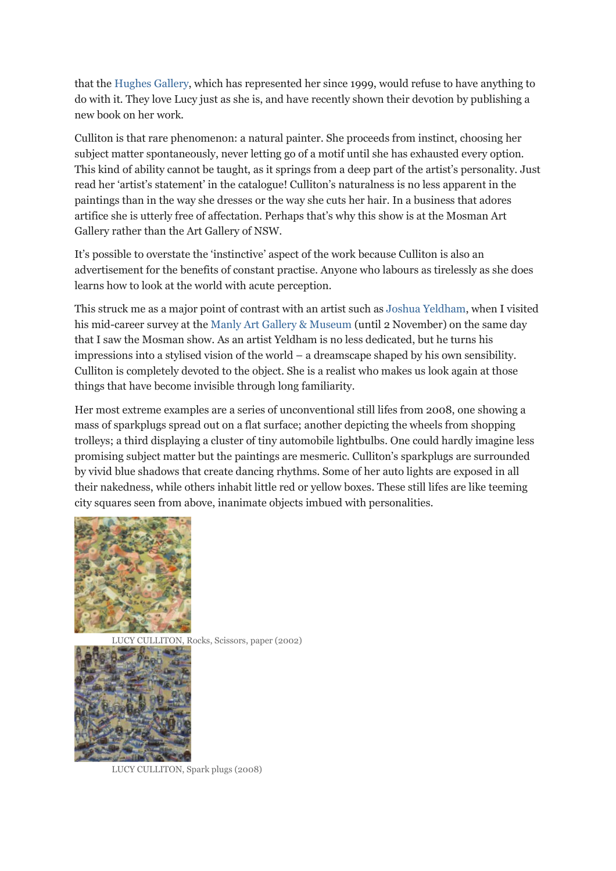that the Hughes Gallery, which has represented her since 1999, would refuse to have anything to do with it. They love Lucy just as she is, and have recently shown their devotion by publishing a new book on her work.

Culliton is that rare phenomenon: a natural painter. She proceeds from instinct, choosing her subject matter spontaneously, never letting go of a motif until she has exhausted every option. This kind of ability cannot be taught, as it springs from a deep part of the artist's personality. Just read her 'artist's statement' in the catalogue! Culliton's naturalness is no less apparent in the paintings than in the way she dresses or the way she cuts her hair. In a business that adores artifice she is utterly free of affectation. Perhaps that's why this show is at the Mosman Art Gallery rather than the Art Gallery of NSW.

It's possible to overstate the 'instinctive' aspect of the work because Culliton is also an advertisement for the benefits of constant practise. Anyone who labours as tirelessly as she does learns how to look at the world with acute perception.

This struck me as a major point of contrast with an artist such as Joshua Yeldham, when I visited his mid-career survey at the Manly Art Gallery & Museum (until 2 November) on the same day that I saw the Mosman show. As an artist Yeldham is no less dedicated, but he turns his impressions into a stylised vision of the world – a dreamscape shaped by his own sensibility. Culliton is completely devoted to the object. She is a realist who makes us look again at those things that have become invisible through long familiarity.

Her most extreme examples are a series of unconventional still lifes from 2008, one showing a mass of sparkplugs spread out on a flat surface; another depicting the wheels from shopping trolleys; a third displaying a cluster of tiny automobile lightbulbs. One could hardly imagine less promising subject matter but the paintings are mesmeric. Culliton's sparkplugs are surrounded by vivid blue shadows that create dancing rhythms. Some of her auto lights are exposed in all their nakedness, while others inhabit little red or yellow boxes. These still lifes are like teeming city squares seen from above, inanimate objects imbued with personalities.



LUCY CULLITON, Rocks, Scissors, paper (2002)



LUCY CULLITON, Spark plugs (2008)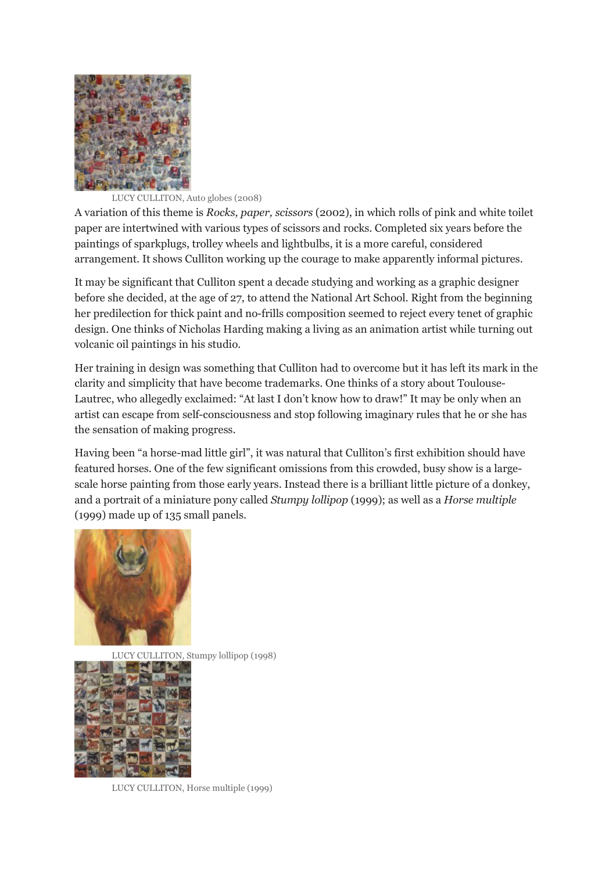

## LUCY CULLITON, Auto globes (2008)

A variation of this theme is Rocks, paper, scissors (2002), in which rolls of pink and white toilet paper are intertwined with various types of scissors and rocks. Completed six years before the paintings of sparkplugs, trolley wheels and lightbulbs, it is a more careful, considered arrangement. It shows Culliton working up the courage to make apparently informal pictures.

It may be significant that Culliton spent a decade studying and working as a graphic designer before she decided, at the age of 27, to attend the National Art School. Right from the beginning her predilection for thick paint and no-frills composition seemed to reject every tenet of graphic design. One thinks of Nicholas Harding making a living as an animation artist while turning out volcanic oil paintings in his studio.

Her training in design was something that Culliton had to overcome but it has left its mark in the clarity and simplicity that have become trademarks. One thinks of a story about Toulouse-Lautrec, who allegedly exclaimed: "At last I don't know how to draw!" It may be only when an artist can escape from self-consciousness and stop following imaginary rules that he or she has the sensation of making progress.

Having been "a horse-mad little girl", it was natural that Culliton's first exhibition should have featured horses. One of the few significant omissions from this crowded, busy show is a largescale horse painting from those early years. Instead there is a brilliant little picture of a donkey, and a portrait of a miniature pony called Stumpy lollipop (1999); as well as a Horse multiple (1999) made up of 135 small panels.



LUCY CULLITON, Stumpy lollipop (1998)



LUCY CULLITON, Horse multiple (1999)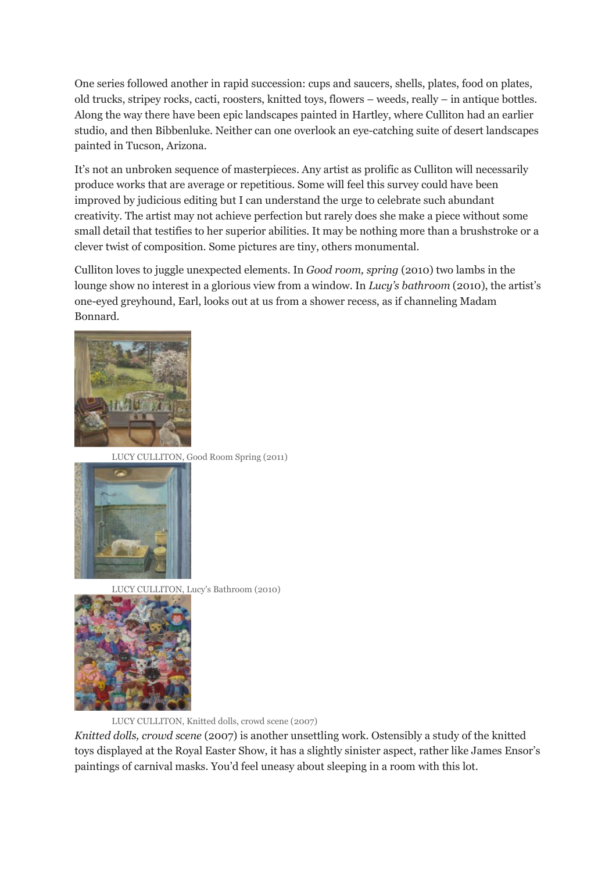One series followed another in rapid succession: cups and saucers, shells, plates, food on plates, old trucks, stripey rocks, cacti, roosters, knitted toys, flowers – weeds, really – in antique bottles. Along the way there have been epic landscapes painted in Hartley, where Culliton had an earlier studio, and then Bibbenluke. Neither can one overlook an eye-catching suite of desert landscapes painted in Tucson, Arizona.

It's not an unbroken sequence of masterpieces. Any artist as prolific as Culliton will necessarily produce works that are average or repetitious. Some will feel this survey could have been improved by judicious editing but I can understand the urge to celebrate such abundant creativity. The artist may not achieve perfection but rarely does she make a piece without some small detail that testifies to her superior abilities. It may be nothing more than a brushstroke or a clever twist of composition. Some pictures are tiny, others monumental.

Culliton loves to juggle unexpected elements. In Good room, spring (2010) two lambs in the lounge show no interest in a glorious view from a window. In Lucy's bathroom (2010), the artist's one-eyed greyhound, Earl, looks out at us from a shower recess, as if channeling Madam Bonnard.



LUCY CULLITON, Good Room Spring (2011)



LUCY CULLITON, Lucy's Bathroom (2010)



LUCY CULLITON, Knitted dolls, crowd scene (2007)

Knitted dolls, crowd scene (2007) is another unsettling work. Ostensibly a study of the knitted toys displayed at the Royal Easter Show, it has a slightly sinister aspect, rather like James Ensor's paintings of carnival masks. You'd feel uneasy about sleeping in a room with this lot.